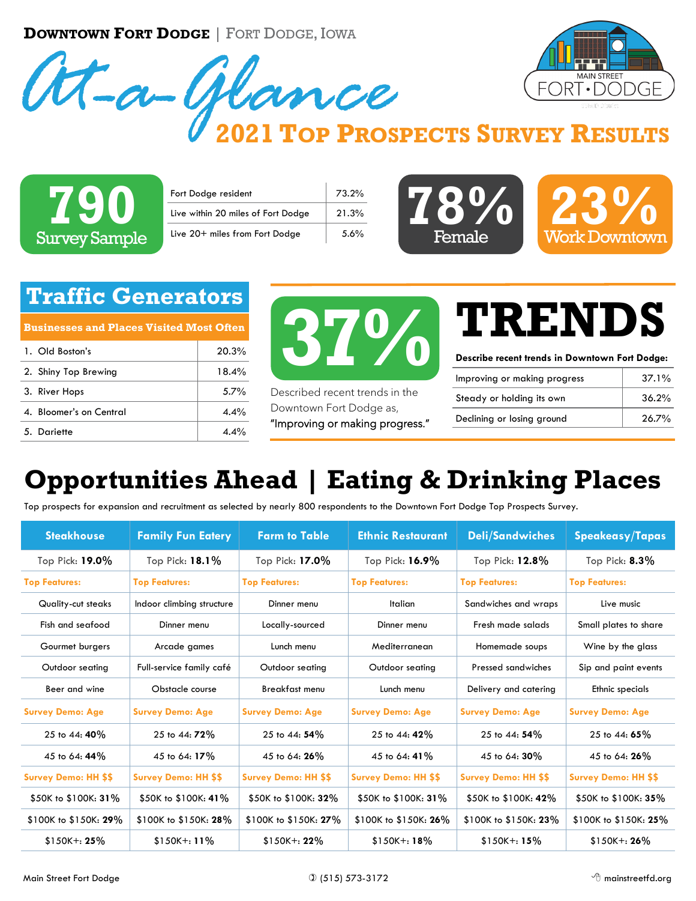**DOWNTOWN FORT DODGE** | FORT DODGE, IOWA





#### **2021 TOP PROSPECTS SURVEY RESULTS**



| Fort Dodge resident                | 73.2% |
|------------------------------------|-------|
| Live within 20 miles of Fort Dodge | 21.3% |
| Live 20+ miles from Fort Dodge     | 5.6%  |



#### **Traffic Generators**

**Businesses and Places Visited Most Often**

| 1. Old Boston's         | 20.3%               |
|-------------------------|---------------------|
| 2. Shiny Top Brewing    | 18.4%               |
| 3. River Hops           | $5.7\%$             |
| 4. Bloomer's on Central | 4.4%                |
| 5. Dariette             | $\Delta \Delta^{0}$ |



Described recent trends in the Downtown Fort Dodge as, "Improving or making progress."

# **TRENDS**

**Describe recent trends in Downtown Fort Dodge:**

| Improving or making progress | $37.1\%$ |
|------------------------------|----------|
| Steady or holding its own    | 36.2%    |
| Declining or losing ground   | 26.7%    |

### **Opportunities Ahead | Eating & Drinking Places**

Top prospects for expansion and recruitment as selected by nearly 800 respondents to the Downtown Fort Dodge Top Prospects Survey.

| <b>Steakhouse</b>           | <b>Family Fun Eatery</b>    | <b>Farm to Table</b>        | <b>Ethnic Restaurant</b>    | <b>Deli/Sandwiches</b>      | <b>Speakeasy/Tapas</b>      |
|-----------------------------|-----------------------------|-----------------------------|-----------------------------|-----------------------------|-----------------------------|
| Top Pick: 19.0%             | Top Pick: 18.1%             | Top Pick: 17.0%             | Top Pick: 16.9%             | Top Pick: 12.8%             | Top Pick: $8.3\%$           |
| <b>Top Features:</b>        | <b>Top Features:</b>        | <b>Top Features:</b>        | <b>Top Features:</b>        | <b>Top Features:</b>        | <b>Top Features:</b>        |
| Quality-cut steaks          | Indoor climbing structure   | Dinner menu                 | <b>Italian</b>              | Sandwiches and wraps        | Live music                  |
| Fish and seafood            | Dinner menu                 | Locally-sourced             | Dinner menu                 | Fresh made salads           | Small plates to share       |
| Gourmet burgers             | Arcade games                | Lunch menu                  | Mediterranean               | Homemade soups              | Wine by the glass           |
| Outdoor seating             | Full-service family café    | Outdoor seating             | Outdoor seating             | Pressed sandwiches          | Sip and paint events        |
| Beer and wine               | Obstacle course             | Breakfast menu              | Lunch menu                  | Delivery and catering       | Ethnic specials             |
| <b>Survey Demo: Age</b>     | <b>Survey Demo: Age</b>     | <b>Survey Demo: Age</b>     | <b>Survey Demo: Age</b>     | <b>Survey Demo: Age</b>     | <b>Survey Demo: Age</b>     |
| 25 to 44: 40%               | 25 to 44: 72%               | 25 to 44: 54%               | 25 to 44: 42%               | 25 to 44: 54%               | 25 to 44: 65%               |
| 45 to 64: 44%               | 45 to 64: 17%               | 45 to 64: 26%               | 45 to 64: 41%               | 45 to 64: 30%               | 45 to 64: 26%               |
| <b>Survey Demo: HH \$\$</b> | <b>Survey Demo: HH \$\$</b> | <b>Survey Demo: HH \$\$</b> | <b>Survey Demo: HH \$\$</b> | <b>Survey Demo: HH \$\$</b> | <b>Survey Demo: HH \$\$</b> |
| \$50K to \$100K: 31%        | \$50K to \$100K: 41%        | \$50K to \$100K: 32%        | \$50K to \$100K: 31%        | \$50K to \$100K: 42%        | \$50K to \$100K: 35%        |
| \$100K to \$150K: 29%       | \$100K to \$150K: 28%       | \$100K to \$150K: 27%       | \$100K to \$150K: 26%       | \$100K to \$150K: 23%       | \$100K to \$150K: 25%       |
| $$150K + 25\%$              | $$150K +: 11\%$             | $$150K + 22\%$              | $$150K +: 18\%$             | $$150K + 15\%$              | $$150K + 26\%$              |